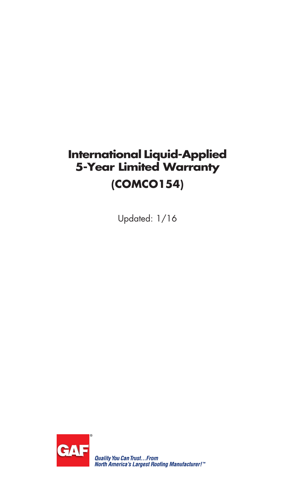# **International Liquid-Applied 5-Year Limited Warranty (COMCO154)**

Updated: 1/16